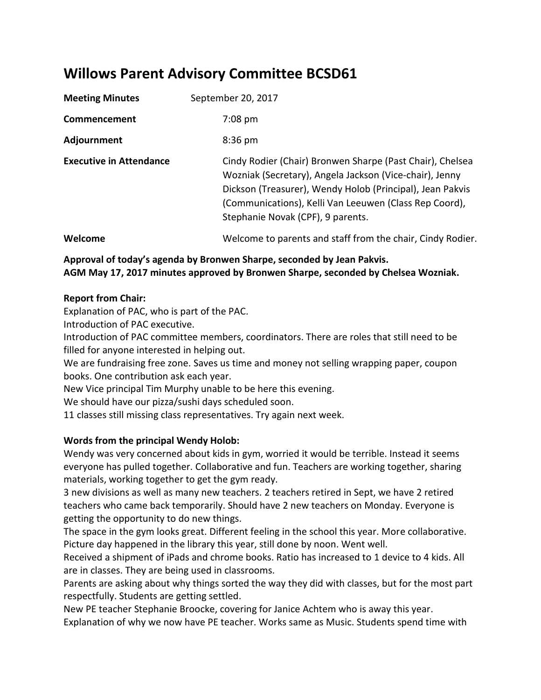# **Willows Parent Advisory Committee BCSD61**

| <b>Meeting Minutes</b>         | September 20, 2017                                                                                                                                                                                                                                                               |
|--------------------------------|----------------------------------------------------------------------------------------------------------------------------------------------------------------------------------------------------------------------------------------------------------------------------------|
| Commencement                   | $7:08$ pm                                                                                                                                                                                                                                                                        |
| Adjournment                    | $8:36$ pm                                                                                                                                                                                                                                                                        |
| <b>Executive in Attendance</b> | Cindy Rodier (Chair) Bronwen Sharpe (Past Chair), Chelsea<br>Wozniak (Secretary), Angela Jackson (Vice-chair), Jenny<br>Dickson (Treasurer), Wendy Holob (Principal), Jean Pakvis<br>(Communications), Kelli Van Leeuwen (Class Rep Coord),<br>Stephanie Novak (CPF), 9 parents. |
| Welcome                        | Welcome to parents and staff from the chair, Cindy Rodier.                                                                                                                                                                                                                       |

#### **Approval of today's agenda by Bronwen Sharpe, seconded by Jean Pakvis. AGM May 17, 2017 minutes approved by Bronwen Sharpe, seconded by Chelsea Wozniak.**

#### **Report from Chair:**

Explanation of PAC, who is part of the PAC.

Introduction of PAC executive.

Introduction of PAC committee members, coordinators. There are roles that still need to be filled for anyone interested in helping out.

We are fundraising free zone. Saves us time and money not selling wrapping paper, coupon books. One contribution ask each year.

New Vice principal Tim Murphy unable to be here this evening.

We should have our pizza/sushi days scheduled soon.

11 classes still missing class representatives. Try again next week.

#### **Words from the principal Wendy Holob:**

Wendy was very concerned about kids in gym, worried it would be terrible. Instead it seems everyone has pulled together. Collaborative and fun. Teachers are working together, sharing materials, working together to get the gym ready.

3 new divisions as well as many new teachers. 2 teachers retired in Sept, we have 2 retired teachers who came back temporarily. Should have 2 new teachers on Monday. Everyone is getting the opportunity to do new things.

The space in the gym looks great. Different feeling in the school this year. More collaborative. Picture day happened in the library this year, still done by noon. Went well.

Received a shipment of iPads and chrome books. Ratio has increased to 1 device to 4 kids. All are in classes. They are being used in classrooms.

Parents are asking about why things sorted the way they did with classes, but for the most part respectfully. Students are getting settled.

New PE teacher Stephanie Broocke, covering for Janice Achtem who is away this year. Explanation of why we now have PE teacher. Works same as Music. Students spend time with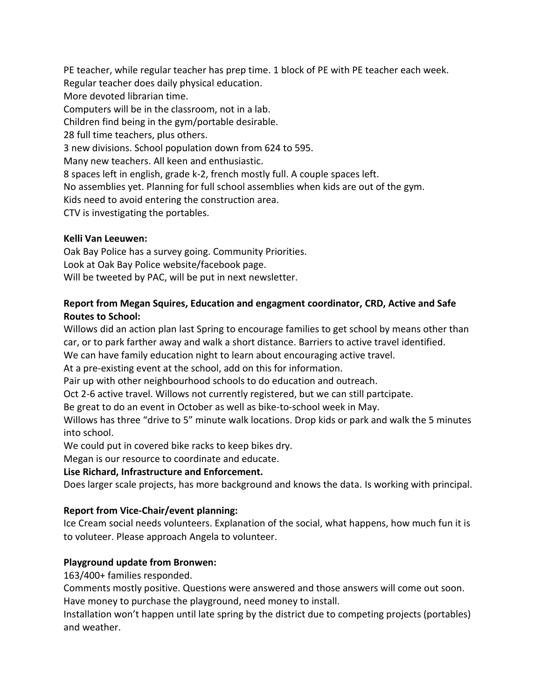PE teacher, while regular teacher has prep time. 1 block of PE with PE teacher each week. Regular teacher does daily physical education. More devoted librarian time. Computers will be in the classroom, not in a lab. Children find being in the gym/portable desirable. 28 full time teachers, plus others. 3 new divisions. School population down from 624 to 595. Many new teachers. All keen and enthusiastic. 8 spaces left in english, grade k-2, french mostly full. A couple spaces left. No assemblies yet. Planning for full school assemblies when kids are out of the gym. Kids need to avoid entering the construction area. CTV is investigating the portables.

#### **Kelli Van Leeuwen:**

Oak Bay Police has a survey going. Community Priorities. Look at Oak Bay Police website/facebook page. Will be tweeted by PAC, will be put in next newsletter.

## **Report from Megan Squires, Education and engagment coordinator, CRD, Active and Safe Routes to School:**

Willows did an action plan last Spring to encourage families to get school by means other than car, or to park farther away and walk a short distance. Barriers to active travel identified.

We can have family education night to learn about encouraging active travel.

At a pre-existing event at the school, add on this for information.

Pair up with other neighbourhood schools to do education and outreach.

Oct 2-6 active travel. Willows not currently registered, but we can still partcipate.

Be great to do an event in October as well as bike-to-school week in May.

Willows has three "drive to 5" minute walk locations. Drop kids or park and walk the 5 minutes into school.

We could put in covered bike racks to keep bikes dry.

Megan is our resource to coordinate and educate.

# **Lise Richard, Infrastructure and Enforcement.**

Does larger scale projects, has more background and knows the data. Is working with principal.

# **Report from Vice-Chair/event planning:**

Ice Cream social needs volunteers. Explanation of the social, what happens, how much fun it is to voluteer. Please approach Angela to volunteer.

# **Playground update from Bronwen:**

163/400+ families responded.

Comments mostly positive. Questions were answered and those answers will come out soon. Have money to purchase the playground, need money to install.

Installation won't happen until late spring by the district due to competing projects (portables) and weather.